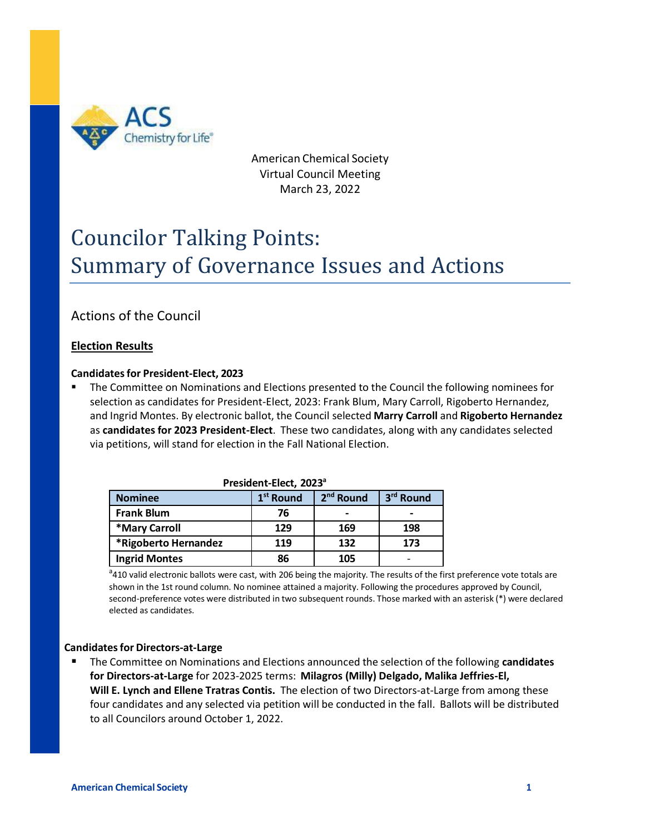

American Chemical Society Virtual Council Meeting March 23, 2022

# Councilor Talking Points: Summary of Governance Issues and Actions

# Actions of the Council

# **Election Results**

#### **Candidatesfor President-Elect, 2023**

The Committee on Nominations and Elections presented to the Council the following nominees for selection as candidates for President-Elect, 2023: Frank Blum, Mary Carroll, Rigoberto Hernandez, and Ingrid Montes. By electronic ballot, the Council selected **Marry Carroll** and **Rigoberto Hernandez**  as **candidates for 2023 President-Elect**. These two candidates, along with any candidates selected via petitions, will stand for election in the Fall National Election.

| President-Elect, 2023 <sup>ª</sup> |                       |                       |           |  |
|------------------------------------|-----------------------|-----------------------|-----------|--|
| <b>Nominee</b>                     | 1 <sup>st</sup> Round | 2 <sup>nd</sup> Round | 3rd Round |  |
| <b>Frank Blum</b>                  | 76                    |                       | -         |  |
| *Mary Carroll                      | 129                   | 169                   | 198       |  |
| *Rigoberto Hernandez               | 119                   | 132                   | 173       |  |
| <b>Ingrid Montes</b>               | 86                    | 105                   |           |  |

| President-Elect, 2023 <sup>a</sup> |  |
|------------------------------------|--|
|------------------------------------|--|

<sup>a</sup>410 valid electronic ballots were cast, with 206 being the majority. The results of the first preference vote totals are shown in the 1st round column. No nominee attained a majority. Following the procedures approved by Council, second-preference votes were distributed in two subsequent rounds. Those marked with an asterisk (\*) were declared elected as candidates.

#### **Candidatesfor Directors-at-Large**

■ The Committee on Nominations and Elections announced the selection of the following **candidates for Directors-at-Large** for 2023-2025 terms: **Milagros (Milly) Delgado, Malika Jeffries-El, Will E. Lynch and Ellene Tratras Contis.** The election of two Directors-at-Large from among these four candidates and any selected via petition will be conducted in the fall. Ballots will be distributed to all Councilors around October 1, 2022.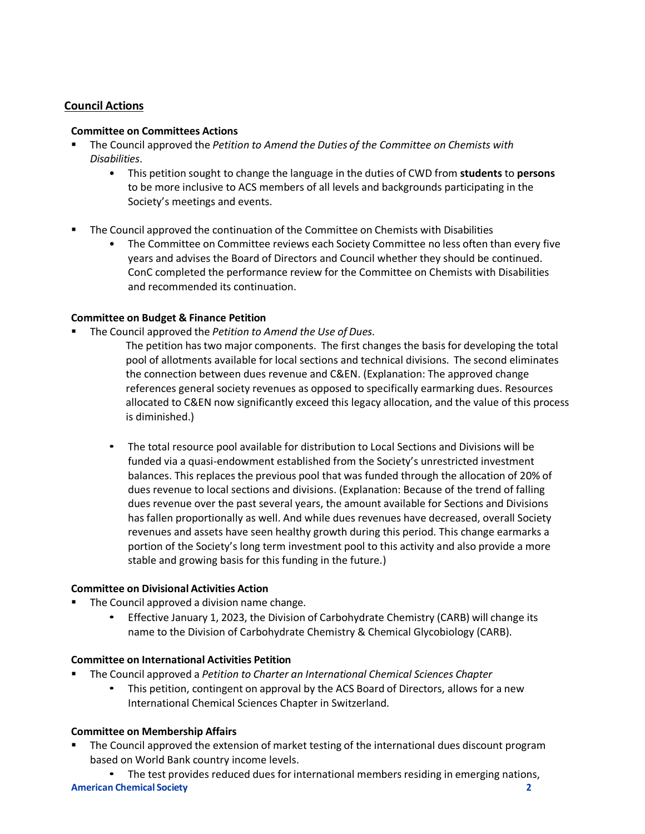# **Council Actions**

#### **Committee on Committees Actions**

- The Council approved the *Petition to Amend the Duties of the Committee on Chemists with Disabilities*.
	- This petition sought to change the language in the duties of CWD from **students** to **persons**  to be more inclusive to ACS members of all levels and backgrounds participating in the Society's meetings and events.
- **■** The Council approved the continuation of the Committee on Chemists with Disabilities
	- The Committee on Committee reviews each Society Committee no less often than every five years and advises the Board of Directors and Council whether they should be continued. ConC completed the performance review for the Committee on Chemists with Disabilities and recommended its continuation.

# **Committee on Budget & Finance Petition**

- The Council approved the *Petition to Amend the Use of Dues*.
	- The petition hastwo major components. The first changes the basis for developing the total pool of allotments available for local sections and technical divisions. The second eliminates the connection between dues revenue and C&EN. (Explanation: The approved change references general society revenues as opposed to specifically earmarking dues. Resources allocated to C&EN now significantly exceed this legacy allocation, and the value of this process is diminished.)
	- The total resource pool available for distribution to Local Sections and Divisions will be funded via a quasi-endowment established from the Society's unrestricted investment balances. This replaces the previous pool that was funded through the allocation of 20% of dues revenue to local sections and divisions. (Explanation: Because of the trend of falling dues revenue over the past several years, the amount available for Sections and Divisions has fallen proportionally as well. And while dues revenues have decreased, overall Society revenues and assets have seen healthy growth during this period. This change earmarks a portion of the Society's long term investment pool to this activity and also provide a more stable and growing basis for this funding in the future.)

#### **Committee on Divisional Activities Action**

- The Council approved a division name change.
	- Effective January 1, 2023, the Division of Carbohydrate Chemistry (CARB) will change its name to the Division of Carbohydrate Chemistry & Chemical Glycobiology (CARB).

#### **Committee on International Activities Petition**

- The Council approved a *Petition to Charter an International Chemical Sciences Chapter*
	- This petition, contingent on approval by the ACS Board of Directors, allows for a new International Chemical Sciences Chapter in Switzerland.

#### **Committee on Membership Affairs**

The Council approved the extension of market testing of the international dues discount program based on World Bank country income levels.

**American Chemical Society 2** • The test provides reduced dues for international members residing in emerging nations,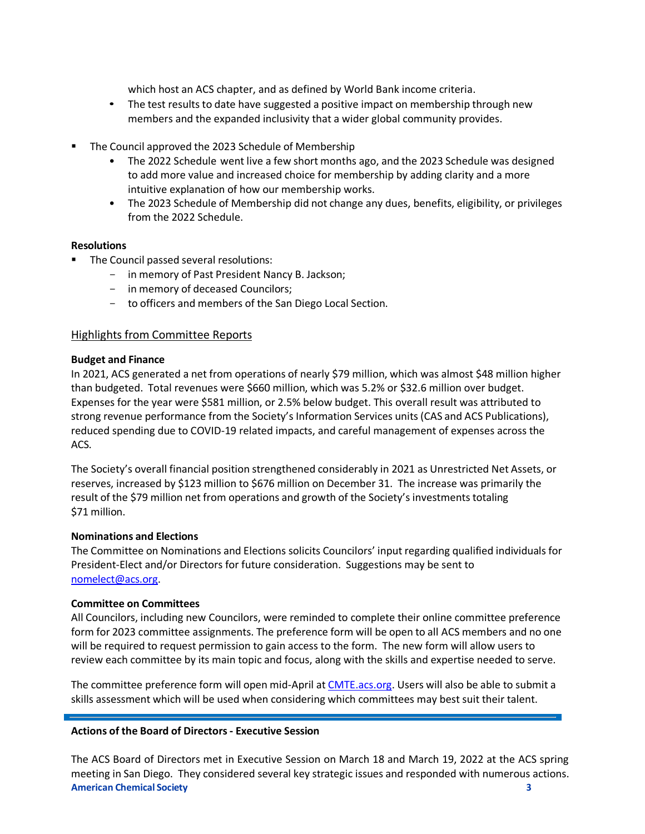which host an ACS chapter, and as defined by World Bank income criteria.

- The test results to date have suggested a positive impact on membership through new members and the expanded inclusivity that a wider global community provides.
- The Council approved the 2023 Schedule of Membership
	- The 2022 Schedule went live a few short months ago, and the 2023 Schedule was designed to add more value and increased choice for membership by adding clarity and a more intuitive explanation of how our membership works.
	- The 2023 Schedule of Membership did not change any dues, benefits, eligibility, or privileges from the 2022 Schedule.

#### **Resolutions**

- The Council passed several resolutions:
	- in memory of Past President Nancy B. Jackson;
	- in memory of deceased Councilors;
	- to officers and members of the San Diego Local Section.

# Highlights from Committee Reports

#### **Budget and Finance**

In 2021, ACS generated a net from operations of nearly \$79 million, which was almost \$48 million higher than budgeted. Total revenues were \$660 million, which was 5.2% or \$32.6 million over budget. Expenses for the year were \$581 million, or 2.5% below budget. This overall result was attributed to strong revenue performance from the Society's Information Services units (CAS and ACS Publications), reduced spending due to COVID-19 related impacts, and careful management of expenses across the ACS.

The Society's overall financial position strengthened considerably in 2021 as Unrestricted Net Assets, or reserves, increased by \$123 million to \$676 million on December 31. The increase was primarily the result of the \$79 million net from operations and growth of the Society's investments totaling \$71 million.

#### **Nominations and Elections**

The Committee on Nominations and Elections solicits Councilors' input regarding qualified individuals for President-Elect and/or Directors for future consideration. Suggestions may be sent to [nomelect@acs.org.](mailto:nomelect@acs.org)

#### **Committee on Committees**

All Councilors, including new Councilors, were reminded to complete their online committee preference form for 2023 committee assignments. The preference form will be open to all ACS members and no one will be required to request permission to gain access to the form. The new form will allow users to review each committee by its main topic and focus, along with the skills and expertise needed to serve.

The committee preference form will open mid-April at [CMTE.acs.org.](https://cmte.acs.org/) Users will also be able to submit a skills assessment which will be used when considering which committees may best suit their talent.

#### **Actions of the Board of Directors- Executive Session**

**American Chemical Society 3** The ACS Board of Directors met in Executive Session on March 18 and March 19, 2022 at the ACS spring meeting in San Diego. They considered several key strategic issues and responded with numerous actions.